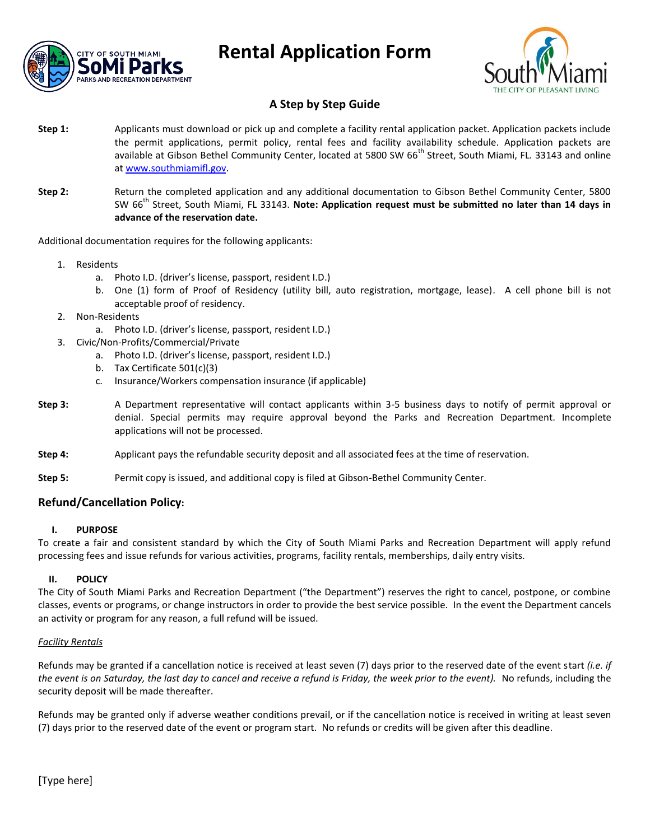



## **A Step by Step Guide**

- **Step 1:** Applicants must download or pick up and complete a facility rental application packet. Application packets include the permit applications, permit policy, rental fees and facility availability schedule. Application packets are available at Gibson Bethel Community Center, located at 5800 SW 66<sup>th</sup> Street, South Miami, FL. 33143 and online a[t www.southmiamifl.gov.](http://www.southmiamifl.gov/)
- **Step 2:** Return the completed application and any additional documentation to Gibson Bethel Community Center, 5800 SW 66th Street, South Miami, FL 33143. **Note: Application request must be submitted no later than 14 days in advance of the reservation date.**

Additional documentation requires for the following applicants:

- 1. Residents
	- a. Photo I.D. (driver's license, passport, resident I.D.)
	- b. One (1) form of Proof of Residency (utility bill, auto registration, mortgage, lease). A cell phone bill is not acceptable proof of residency.
- 2. Non-Residents
	- a. Photo I.D. (driver's license, passport, resident I.D.)
- 3. Civic/Non-Profits/Commercial/Private
	- a. Photo I.D. (driver's license, passport, resident I.D.)
	- b. Tax Certificate 501(c)(3)
	- c. Insurance/Workers compensation insurance (if applicable)
- **Step 3:** A Department representative will contact applicants within 3-5 business days to notify of permit approval or denial. Special permits may require approval beyond the Parks and Recreation Department. Incomplete applications will not be processed.
- **Step 4:** Applicant pays the refundable security deposit and all associated fees at the time of reservation.
- **Step 5:** Permit copy is issued, and additional copy is filed at Gibson-Bethel Community Center.

### **Refund/Cancellation Policy:**

#### **I. PURPOSE**

To create a fair and consistent standard by which the City of South Miami Parks and Recreation Department will apply refund processing fees and issue refunds for various activities, programs, facility rentals, memberships, daily entry visits.

#### **II. POLICY**

The City of South Miami Parks and Recreation Department ("the Department") reserves the right to cancel, postpone, or combine classes, events or programs, or change instructors in order to provide the best service possible. In the event the Department cancels an activity or program for any reason, a full refund will be issued.

#### *Facility Rentals*

Refunds may be granted if a cancellation notice is received at least seven (7) days prior to the reserved date of the event start *(i.e. if the event is on Saturday, the last day to cancel and receive a refund is Friday, the week prior to the event).* No refunds, including the security deposit will be made thereafter.

Refunds may be granted only if adverse weather conditions prevail, or if the cancellation notice is received in writing at least seven (7) days prior to the reserved date of the event or program start. No refunds or credits will be given after this deadline.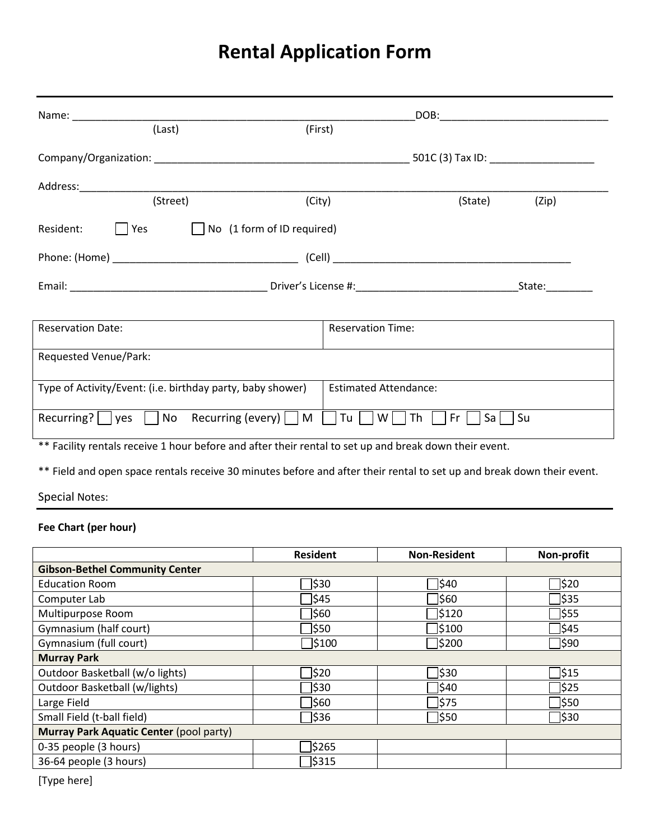| (Last)                                                                                                 | (First)                      |  |  |  |
|--------------------------------------------------------------------------------------------------------|------------------------------|--|--|--|
|                                                                                                        |                              |  |  |  |
|                                                                                                        |                              |  |  |  |
| (Street)<br>(City)                                                                                     | (State)<br>(Zip)             |  |  |  |
| $\vert$   Yes $\vert$   No (1 form of ID required)<br>Resident:                                        |                              |  |  |  |
|                                                                                                        |                              |  |  |  |
|                                                                                                        |                              |  |  |  |
| <b>Reservation Date:</b>                                                                               | <b>Reservation Time:</b>     |  |  |  |
|                                                                                                        |                              |  |  |  |
| Requested Venue/Park:                                                                                  |                              |  |  |  |
| Type of Activity/Event: (i.e. birthday party, baby shower)                                             | <b>Estimated Attendance:</b> |  |  |  |
| Recurring? $\Box$ yes $\Box$ No Recurring (every) $\Box$ M $\Box$ Tu $\Box$ W $\Box$ Th $\Box$         | $Fr$    <br>$Sa$   $Su$      |  |  |  |
| ** Facility rentals receive 1 hour before and after their rental to set up and break down their event. |                              |  |  |  |

\*\* Field and open space rentals receive 30 minutes before and after their rental to set up and break down their event.

Special Notes:

## **Fee Chart (per hour)**

|                                         | <b>Resident</b> | <b>Non-Resident</b> | Non-profit |  |  |
|-----------------------------------------|-----------------|---------------------|------------|--|--|
| <b>Gibson-Bethel Community Center</b>   |                 |                     |            |  |  |
| <b>Education Room</b>                   | 330]            | 340]                | ס3ן⊺       |  |  |
| Computer Lab                            | <b>545</b>      | 360]                | ]\$35      |  |  |
| Multipurpose Room                       | 560             | 5120                | 7\$55      |  |  |
| Gymnasium (half court)                  | 350             | 5100]               | 345]       |  |  |
| Gymnasium (full court)                  | 5100            | 3200                | 90∫        |  |  |
| <b>Murray Park</b>                      |                 |                     |            |  |  |
| Outdoor Basketball (w/o lights)         | 320             | 330                 | 7\$15      |  |  |
| Outdoor Basketball (w/lights)           | 330]            | 340]                | 325        |  |  |
| Large Field                             | 360]            | 375                 | 550        |  |  |
| Small Field (t-ball field)              | 36              | ]\$50               | 530        |  |  |
| Murray Park Aquatic Center (pool party) |                 |                     |            |  |  |
| 0-35 people (3 hours)                   | 5265            |                     |            |  |  |
| 36-64 people (3 hours)                  | 3315]           |                     |            |  |  |

[Type here]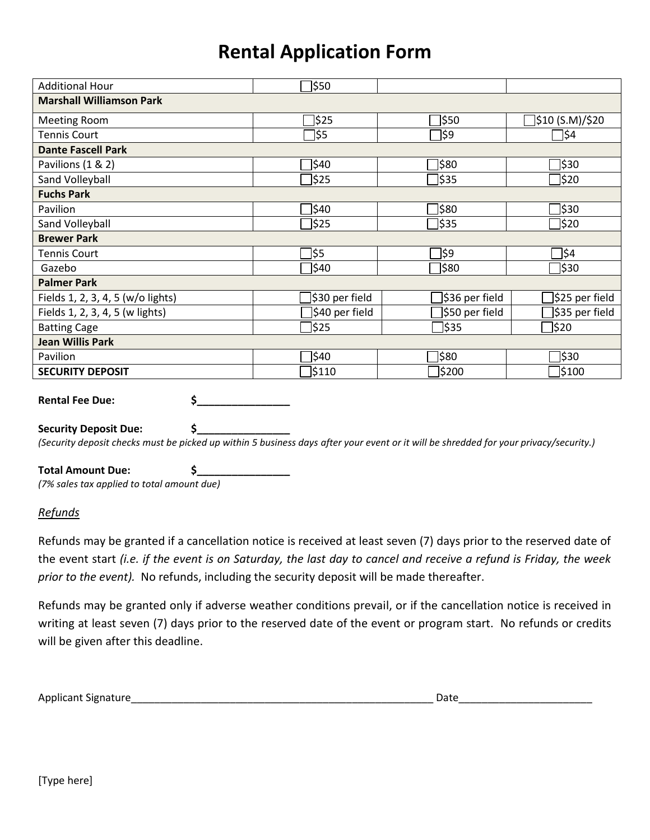| <b>Additional Hour</b>            | 350]           |                 |                  |  |  |  |
|-----------------------------------|----------------|-----------------|------------------|--|--|--|
| <b>Marshall Williamson Park</b>   |                |                 |                  |  |  |  |
| <b>Meeting Room</b>               | <b>525</b>     | 350]            | ]\$10 (S.M)/\$20 |  |  |  |
| <b>Tennis Court</b>               | ]\$5           | ]\$9            | 7\$⊈             |  |  |  |
| <b>Dante Fascell Park</b>         |                |                 |                  |  |  |  |
| Pavilions (1 & 2)                 | \$40           | ]\$80           | ]\$30            |  |  |  |
| Sand Volleyball                   | ]\$25          | ]\$35           | ]\$20            |  |  |  |
| <b>Fuchs Park</b>                 |                |                 |                  |  |  |  |
| Pavilion                          | \$40           | 380]            | 330]             |  |  |  |
| Sand Volleyball                   | 325]           | ]\$35           | 320]             |  |  |  |
| <b>Brewer Park</b>                |                |                 |                  |  |  |  |
| <b>Tennis Court</b>               | <b>\\$5</b>    | 39]             | 34]              |  |  |  |
| Gazebo                            | <b>\$40</b>    | 380]            | ]\$30            |  |  |  |
| <b>Palmer Park</b>                |                |                 |                  |  |  |  |
| Fields 1, 2, 3, 4, 5 (w/o lights) | \$30 per field | ]\$36 per field | ]\$25 per field  |  |  |  |
| Fields 1, 2, 3, 4, 5 (w lights)   | \$40 per field | \$50 per field  | \$35 per field   |  |  |  |
| <b>Batting Cage</b>               | <b>525</b>     | ∃\$35           | ]\$20            |  |  |  |
| <b>Jean Willis Park</b>           |                |                 |                  |  |  |  |
| Pavilion                          | <b>\\$40</b>   | 380]            | 330]             |  |  |  |
| <b>SECURITY DEPOSIT</b>           | \$110          | \$200           | <b>\$100</b>     |  |  |  |
|                                   |                |                 |                  |  |  |  |
| \$<br><b>Rental Fee Due:</b>      |                |                 |                  |  |  |  |

**Security Deposit Due: \$\_\_\_\_\_\_\_\_\_\_\_\_\_\_\_\_**

*(Security deposit checks must be picked up within 5 business days after your event or it will be shredded for your privacy/security.)*

**Total Amount Due: \$\_\_\_\_\_\_\_\_\_\_\_\_\_\_\_\_** *(7% sales tax applied to total amount due)*

## *Refunds*

Refunds may be granted if a cancellation notice is received at least seven (7) days prior to the reserved date of the event start *(i.e. if the event is on Saturday, the last day to cancel and receive a refund is Friday, the week prior to the event).* No refunds, including the security deposit will be made thereafter.

Refunds may be granted only if adverse weather conditions prevail, or if the cancellation notice is received in writing at least seven (7) days prior to the reserved date of the event or program start. No refunds or credits will be given after this deadline.

| Applicant Signature |  |
|---------------------|--|
|                     |  |

Applicant Signature\_\_\_\_\_\_\_\_\_\_\_\_\_\_\_\_\_\_\_\_\_\_\_\_\_\_\_\_\_\_\_\_\_\_\_\_\_\_\_\_\_\_\_\_\_\_\_\_\_\_\_\_ Date\_\_\_\_\_\_\_\_\_\_\_\_\_\_\_\_\_\_\_\_\_\_\_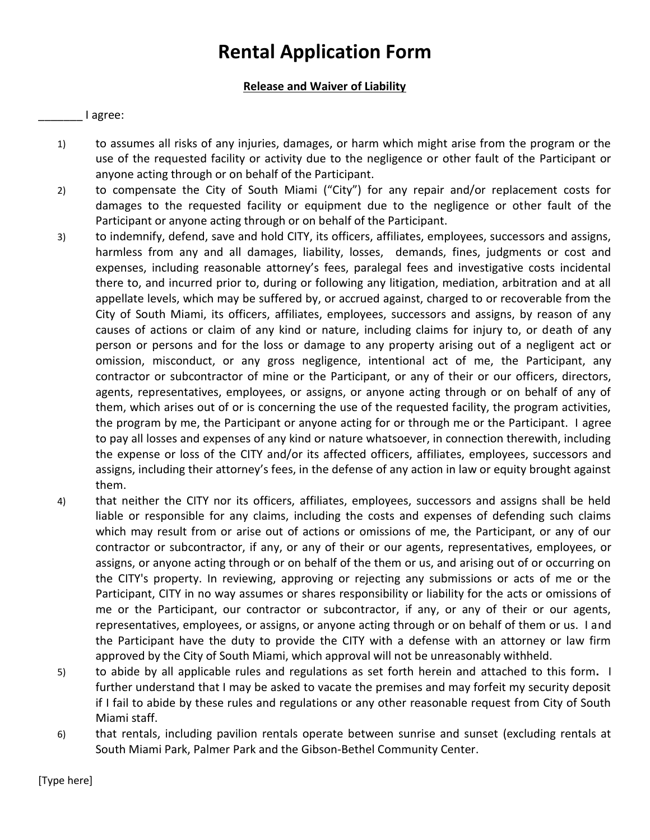## **Release and Waiver of Liability**

### \_\_\_\_\_\_\_ I agree:

- 1) to assumes all risks of any injuries, damages, or harm which might arise from the program or the use of the requested facility or activity due to the negligence or other fault of the Participant or anyone acting through or on behalf of the Participant.
- 2) to compensate the City of South Miami ("City") for any repair and/or replacement costs for damages to the requested facility or equipment due to the negligence or other fault of the Participant or anyone acting through or on behalf of the Participant.
- 3) to indemnify, defend, save and hold CITY, its officers, affiliates, employees, successors and assigns, harmless from any and all damages, liability, losses, demands, fines, judgments or cost and expenses, including reasonable attorney's fees, paralegal fees and investigative costs incidental there to, and incurred prior to, during or following any litigation, mediation, arbitration and at all appellate levels, which may be suffered by, or accrued against, charged to or recoverable from the City of South Miami, its officers, affiliates, employees, successors and assigns, by reason of any causes of actions or claim of any kind or nature, including claims for injury to, or death of any person or persons and for the loss or damage to any property arising out of a negligent act or omission, misconduct, or any gross negligence, intentional act of me, the Participant, any contractor or subcontractor of mine or the Participant, or any of their or our officers, directors, agents, representatives, employees, or assigns, or anyone acting through or on behalf of any of them, which arises out of or is concerning the use of the requested facility, the program activities, the program by me, the Participant or anyone acting for or through me or the Participant. I agree to pay all losses and expenses of any kind or nature whatsoever, in connection therewith, including the expense or loss of the CITY and/or its affected officers, affiliates, employees, successors and assigns, including their attorney's fees, in the defense of any action in law or equity brought against them.
- 4) that neither the CITY nor its officers, affiliates, employees, successors and assigns shall be held liable or responsible for any claims, including the costs and expenses of defending such claims which may result from or arise out of actions or omissions of me, the Participant, or any of our contractor or subcontractor, if any, or any of their or our agents, representatives, employees, or assigns, or anyone acting through or on behalf of the them or us, and arising out of or occurring on the CITY's property. In reviewing, approving or rejecting any submissions or acts of me or the Participant, CITY in no way assumes or shares responsibility or liability for the acts or omissions of me or the Participant, our contractor or subcontractor, if any, or any of their or our agents, representatives, employees, or assigns, or anyone acting through or on behalf of them or us. I and the Participant have the duty to provide the CITY with a defense with an attorney or law firm approved by the City of South Miami, which approval will not be unreasonably withheld.
- 5) to abide by all applicable rules and regulations as set forth herein and attached to this form**.** I further understand that I may be asked to vacate the premises and may forfeit my security deposit if I fail to abide by these rules and regulations or any other reasonable request from City of South Miami staff.
- 6) that rentals, including pavilion rentals operate between sunrise and sunset (excluding rentals at South Miami Park, Palmer Park and the Gibson-Bethel Community Center.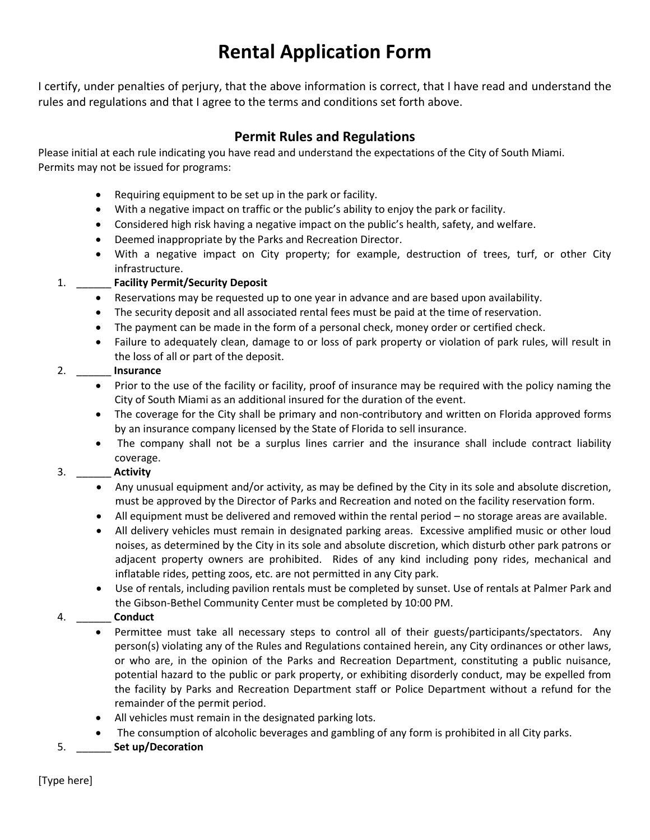I certify, under penalties of perjury, that the above information is correct, that I have read and understand the rules and regulations and that I agree to the terms and conditions set forth above.

## **Permit Rules and Regulations**

Please initial at each rule indicating you have read and understand the expectations of the City of South Miami. Permits may not be issued for programs:

- Requiring equipment to be set up in the park or facility.
- With a negative impact on traffic or the public's ability to enjoy the park or facility.
- Considered high risk having a negative impact on the public's health, safety, and welfare.
- Deemed inappropriate by the Parks and Recreation Director.
- With a negative impact on City property; for example, destruction of trees, turf, or other City infrastructure.

## 1. \_\_\_\_\_\_ **Facility Permit/Security Deposit**

- Reservations may be requested up to one year in advance and are based upon availability.
- The security deposit and all associated rental fees must be paid at the time of reservation.
- The payment can be made in the form of a personal check, money order or certified check.
- Failure to adequately clean, damage to or loss of park property or violation of park rules, will result in the loss of all or part of the deposit.

## 2. \_\_\_\_\_\_ **Insurance**

- Prior to the use of the facility or facility, proof of insurance may be required with the policy naming the City of South Miami as an additional insured for the duration of the event.
- The coverage for the City shall be primary and non-contributory and written on Florida approved forms by an insurance company licensed by the State of Florida to sell insurance.
- The company shall not be a surplus lines carrier and the insurance shall include contract liability coverage.

## 3. \_\_\_\_\_\_ **Activity**

- Any unusual equipment and/or activity, as may be defined by the City in its sole and absolute discretion, must be approved by the Director of Parks and Recreation and noted on the facility reservation form.
- All equipment must be delivered and removed within the rental period no storage areas are available.
- All delivery vehicles must remain in designated parking areas. Excessive amplified music or other loud noises, as determined by the City in its sole and absolute discretion, which disturb other park patrons or adjacent property owners are prohibited. Rides of any kind including pony rides, mechanical and inflatable rides, petting zoos, etc. are not permitted in any City park.
- Use of rentals, including pavilion rentals must be completed by sunset. Use of rentals at Palmer Park and the Gibson-Bethel Community Center must be completed by 10:00 PM.

## 4. \_\_\_\_\_\_ **Conduct**

- Permittee must take all necessary steps to control all of their guests/participants/spectators. Any person(s) violating any of the Rules and Regulations contained herein, any City ordinances or other laws, or who are, in the opinion of the Parks and Recreation Department, constituting a public nuisance, potential hazard to the public or park property, or exhibiting disorderly conduct, may be expelled from the facility by Parks and Recreation Department staff or Police Department without a refund for the remainder of the permit period.
- All vehicles must remain in the designated parking lots.
- The consumption of alcoholic beverages and gambling of any form is prohibited in all City parks.
- 5. \_\_\_\_\_\_ **Set up/Decoration**

[Type here]